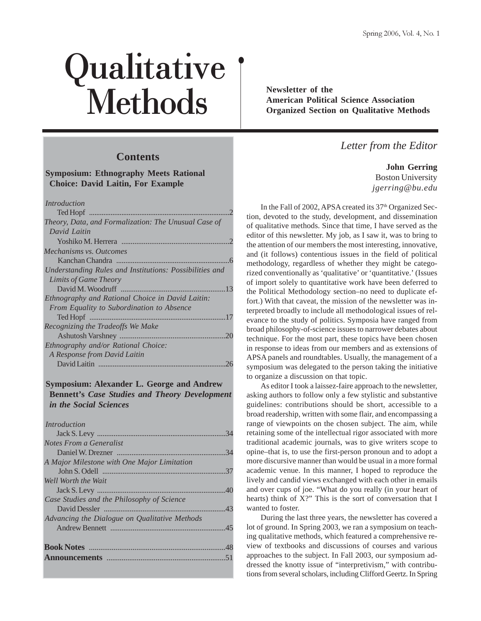# Qualitative **Methods** Newsletter of the American Political Crystal American Political Crystal Crystal Section

# **Contents**

**Symposium: Ethnography Meets Rational Choice: David Laitin, For Example**

 *Introduction*

| Theory, Data, and Formalization: The Unusual Case of    |
|---------------------------------------------------------|
| David Laitin                                            |
|                                                         |
| Mechanisms vs. Outcomes                                 |
|                                                         |
| Understanding Rules and Institutions: Possibilities and |
| Limits of Game Theory                                   |
| 13                                                      |
| Ethnography and Rational Choice in David Laitin:        |
| From Equality to Subordination to Absence               |
| 17                                                      |
| Recognizing the Tradeoffs We Make                       |
| 20                                                      |
| Ethnography and/or Rational Choice:                     |
| A Response from David Laitin                            |
|                                                         |

## **Symposium: Alexander L. George and Andrew Bennett's** *Case Studies and Theory Development in the Social Sciences*

 *Introduction*

|                                               | .34 |
|-----------------------------------------------|-----|
| Notes From a Generalist                       |     |
|                                               | .34 |
| A Major Milestone with One Major Limitation   |     |
|                                               |     |
| Well Worth the Wait                           |     |
|                                               |     |
| Case Studies and the Philosophy of Science    |     |
|                                               |     |
| Advancing the Dialogue on Qualitative Methods |     |
|                                               |     |
|                                               |     |
|                                               | .48 |
|                                               |     |
|                                               |     |

**American Political Science Association Organized Section on Qualitative Methods**

# *Letter from the Editor*

**John Gerring** Boston University *jgerring@bu.edu*

In the Fall of 2002, APSA created its 37<sup>th</sup> Organized Section, devoted to the study, development, and dissemination of qualitative methods. Since that time, I have served as the editor of this newsletter. My job, as I saw it, was to bring to the attention of our members the most interesting, innovative, and (it follows) contentious issues in the field of political methodology, regardless of whether they might be categorized conventionally as 'qualitative' or 'quantitative.' (Issues of import solely to quantitative work have been deferred to the Political Methodology section–no need to duplicate effort.) With that caveat, the mission of the newsletter was interpreted broadly to include all methodological issues of relevance to the study of politics. Symposia have ranged from broad philosophy-of-science issues to narrower debates about technique. For the most part, these topics have been chosen in response to ideas from our members and as extensions of APSA panels and roundtables. Usually, the management of a symposium was delegated to the person taking the initiative to organize a discussion on that topic.

As editor I took a laissez-faire approach to the newsletter, asking authors to follow only a few stylistic and substantive guidelines: contributions should be short, accessible to a broad readership, written with some flair, and encompassing a range of viewpoints on the chosen subject. The aim, while retaining some of the intellectual rigor associated with more traditional academic journals, was to give writers scope to opine–that is, to use the first-person pronoun and to adopt a more discursive manner than would be usual in a more formal academic venue. In this manner, I hoped to reproduce the lively and candid views exchanged with each other in emails and over cups of joe. "What do you really (in your heart of hearts) think of X?" This is the sort of conversation that I wanted to foster.

During the last three years, the newsletter has covered a lot of ground. In Spring 2003, we ran a symposium on teaching qualitative methods, which featured a comprehensive review of textbooks and discussions of courses and various approaches to the subject. In Fall 2003, our symposium addressed the knotty issue of "interpretivism," with contributions from several scholars, including Clifford Geertz. In Spring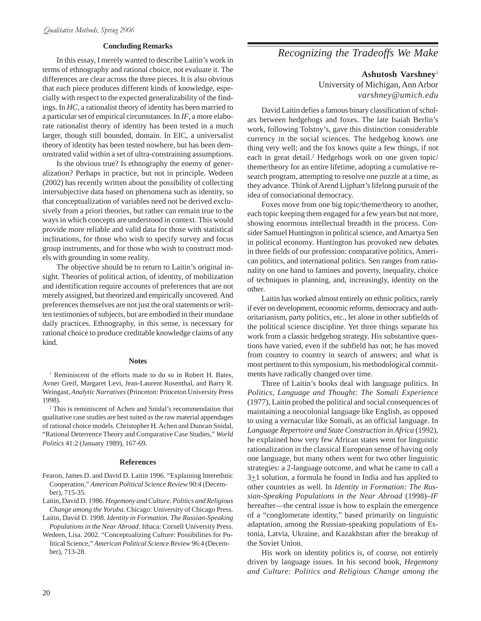## **Concluding Remarks**

In this essay, I merely wanted to describe Laitin's work in terms of ethnography and rational choice, not evaluate it. The differences are clear across the three pieces. It is also obvious that each piece produces different kinds of knowledge, especially with respect to the expected generalizability of the findings. In *HC*, a rationalist theory of identity has been married to a particular set of empirical circumstances. In *IF*, a more elaborate rationalist theory of identity has been tested in a much larger, though still bounded, domain. In EIC, a universalist theory of identity has been tested nowhere, but has been demonstrated valid within a set of ultra-constraining assumptions.

Is the obvious true? Is ethnography the enemy of generalization? Perhaps in practice, but not in principle. Wedeen (2002) has recently written about the possibility of collecting intersubjective data based on phenomena such as identity, so that conceptualization of variables need not be derived exclusively from a priori theories, but rather can remain true to the ways in which concepts are understood in context. This would provide more reliable and valid data for those with statistical inclinations, for those who wish to specify survey and focus group instruments, and for those who wish to construct models with grounding in some reality.

The objective should be to return to Laitin's original insight. Theories of political action, of identity, of mobilization and identification require accounts of preferences that are not merely assigned, but theorized and empirically uncovered. And preferences themselves are not just the oral statements or written testimonies of subjects, but are embodied in their mundane daily practices. Ethnography, in this sense, is necessary for rational choice to produce creditable knowledge claims of any kind.

## **Notes**

<sup>1</sup> Reminiscent of the efforts made to do so in Robert H. Bates, Avner Greif, Margaret Levi, Jean-Laurent Rosenthal, and Barry R. Weingast, *Analytic Narratives* (Princeton: Princeton University Press 1998).

2 This is reminiscent of Achen and Snidal's recommendation that qualitative case studies are best suited as the raw material appendages of rational choice models. Christopher H. Achen and Duncan Snidal, "Rational Deterrence Theory and Comparative Case Studies," *World Politics* 41:2 (January 1989), 167-69.

#### **References**

- Fearon, James D. and David D. Laitin 1996. "Explaining Interethnic Cooperation," *American Political Science Review* 90:4 (December), 715-35.
- Laitin, David D. 1986. *Hegemony and Culture. Politics and Religious Change among the Yoruba.* Chicago: University of Chicago Press.
- Laitin, David D. 1998. *Identity in Formation. The Russian-Speaking Populations in the Near Abroad*. Ithaca: Cornell University Press.
- Wedeen, Lisa. 2002. "Conceptualizing Culture: Possibilities for Political Science," *American Political Science Review* 96:4 (December), 713-28.

# *Recognizing the Tradeoffs We Make*

**Ashutosh Varshney**<sup>1</sup>

University of Michigan, Ann Arbor *varshney@umich.edu*

David Laitin defies a famous binary classification of scholars between hedgehogs and foxes. The late Isaiah Berlin's work, following Tolstoy's, gave this distinction considerable currency in the social sciences. The hedgehog knows one thing very well; and the fox knows quite a few things, if not each in great detail.<sup>2</sup> Hedgehogs work on one given topic/ theme/theory for an entire lifetime, adopting a cumulative research program, attempting to resolve one puzzle at a time, as they advance. Think of Arend Lijphart's lifelong pursuit of the idea of consociational democracy.

Foxes move from one big topic/theme/theory to another, each topic keeping them engaged for a few years but not more, showing enormous intellectual breadth in the process. Consider Samuel Huntington in political science, and Amartya Sen in political economy. Huntington has provoked new debates in three fields of our profession: comparative politics, American politics, and international politics. Sen ranges from rationality on one hand to famines and poverty, inequality, choice of techniques in planning, and, increasingly, identity on the other.

Laitin has worked almost entirely on ethnic politics, rarely if ever on development, economic reforms, democracy and authoritarianism, party politics, etc., let alone in other subfields of the political science discipline. Yet three things separate his work from a classic hedgehog strategy. His substantive questions have varied, even if the subfield has not; he has moved from country to country in search of answers; and what is most pertinent to this symposium, his methodological commitments have radically changed over time.

Three of Laitin's books deal with language politics. In *Politics, Language and Thought: The Somali Experience* (1977), Laitin probed the political and social consequences of maintaining a neocolonial language like English, as opposed to using a vernacular like Somali, as an official language. In *Language Repertoire and State Construction in Africa* (1992), he explained how very few African states went for linguistic rationalization in the classical European sense of having only one language, but many others went for two other linguistic strategies: a 2-language outcome, and what he came to call a  $3\pm1$  solution, a formula he found in India and has applied to other countries as well. In *Identity in Formation: The Russian-Speaking Populations in the Near Abroad* (1998)–*IF* hereafter—the central issue is how to explain the emergence of a "conglomerate identity," based primarily on linguistic adaptation, among the Russian-speaking populations of Estonia, Latvia, Ukraine, and Kazakhstan after the breakup of the Soviet Union.

His work on identity politics is, of course, not entirely driven by language issues. In his second book, *Hegemony and Culture: Politics and Religious Change among the*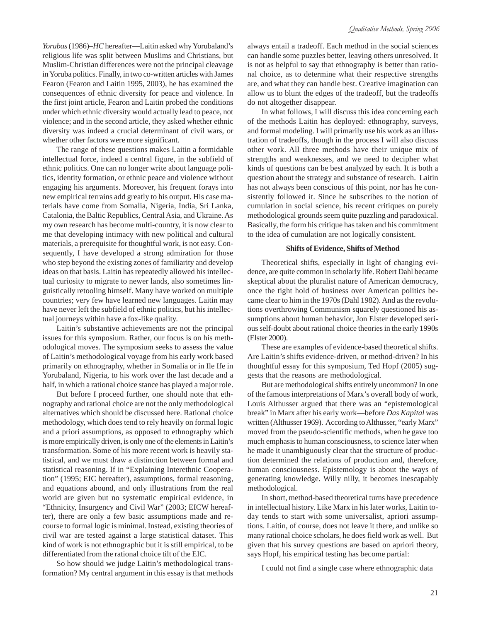*Yorubas* (1986)–*HC* hereafter—Laitin asked why Yorubaland's religious life was split between Muslims and Christians, but Muslim-Christian differences were not the principal cleavage in Yoruba politics. Finally, in two co-written articles with James Fearon (Fearon and Laitin 1995, 2003), he has examined the consequences of ethnic diversity for peace and violence. In the first joint article, Fearon and Laitin probed the conditions under which ethnic diversity would actually lead to peace, not violence; and in the second article, they asked whether ethnic diversity was indeed a crucial determinant of civil wars, or whether other factors were more significant.

The range of these questions makes Laitin a formidable intellectual force, indeed a central figure, in the subfield of ethnic politics. One can no longer write about language politics, identity formation, or ethnic peace and violence without engaging his arguments. Moreover, his frequent forays into new empirical terrains add greatly to his output. His case materials have come from Somalia, Nigeria, India, Sri Lanka, Catalonia, the Baltic Republics, Central Asia, and Ukraine. As my own research has become multi-country, it is now clear to me that developing intimacy with new political and cultural materials, a prerequisite for thoughtful work, is not easy. Consequently, I have developed a strong admiration for those who step beyond the existing zones of familiarity and develop ideas on that basis. Laitin has repeatedly allowed his intellectual curiosity to migrate to newer lands, also sometimes linguistically retooling himself. Many have worked on multiple countries; very few have learned new languages. Laitin may have never left the subfield of ethnic politics, but his intellectual journeys within have a fox-like quality.

Laitin's substantive achievements are not the principal issues for this symposium. Rather, our focus is on his methodological moves. The symposium seeks to assess the value of Laitin's methodological voyage from his early work based primarily on ethnography, whether in Somalia or in Ile Ife in Yorubaland, Nigeria, to his work over the last decade and a half, in which a rational choice stance has played a major role.

But before I proceed further, one should note that ethnography and rational choice are not the only methodological alternatives which should be discussed here. Rational choice methodology, which does tend to rely heavily on formal logic and a priori assumptions, as opposed to ethnography which is more empirically driven, is only one of the elements in Laitin's transformation. Some of his more recent work is heavily statistical, and we must draw a distinction between formal and statistical reasoning. If in "Explaining Interethnic Cooperation" (1995; EIC hereafter), assumptions, formal reasoning, and equations abound, and only illustrations from the real world are given but no systematic empirical evidence, in "Ethnicity, Insurgency and Civil War" (2003; EICW hereafter), there are only a few basic assumptions made and recourse to formal logic is minimal. Instead, existing theories of civil war are tested against a large statistical dataset. This kind of work is not ethnographic but it is still empirical, to be differentiated from the rational choice tilt of the EIC.

So how should we judge Laitin's methodological transformation? My central argument in this essay is that methods always entail a tradeoff. Each method in the social sciences can handle some puzzles better, leaving others unresolved. It is not as helpful to say that ethnography is better than rational choice, as to determine what their respective strengths are, and what they can handle best. Creative imagination can allow us to blunt the edges of the tradeoff, but the tradeoffs do not altogether disappear.

In what follows, I will discuss this idea concerning each of the methods Laitin has deployed: ethnography, surveys, and formal modeling. I will primarily use his work as an illustration of tradeoffs, though in the process I will also discuss other work. All three methods have their unique mix of strengths and weaknesses, and we need to decipher what kinds of questions can be best analyzed by each. It is both a question about the strategy and substance of research. Laitin has not always been conscious of this point, nor has he consistently followed it. Since he subscribes to the notion of cumulation in social science, his recent critiques on purely methodological grounds seem quite puzzling and paradoxical. Basically, the form his critique has taken and his commitment to the idea of cumulation are not logically consistent.

## **Shifts of Evidence, Shifts of Method**

Theoretical shifts, especially in light of changing evidence, are quite common in scholarly life. Robert Dahl became skeptical about the pluralist nature of American democracy, once the tight hold of business over American politics became clear to him in the 1970s (Dahl 1982). And as the revolutions overthrowing Communism squarely questioned his assumptions about human behavior, Jon Elster developed serious self-doubt about rational choice theories in the early 1990s (Elster 2000).

These are examples of evidence-based theoretical shifts. Are Laitin's shifts evidence-driven, or method-driven? In his thoughtful essay for this symposium, Ted Hopf (2005) suggests that the reasons are methodological.

But are methodological shifts entirely uncommon? In one of the famous interpretations of Marx's overall body of work, Louis Althusser argued that there was an "epistemological break" in Marx after his early work—before *Das Kapital* was written (Althusser 1969). According to Althusser, "early Marx" moved from the pseudo-scientific methods, when he gave too much emphasis to human consciousness, to science later when he made it unambiguously clear that the structure of production determined the relations of production and, therefore, human consciousness. Epistemology is about the ways of generating knowledge. Willy nilly, it becomes inescapably methodological.

In short, method-based theoretical turns have precedence in intellectual history. Like Marx in his later works, Laitin today tends to start with some universalist, apriori assumptions. Laitin, of course, does not leave it there, and unlike so many rational choice scholars, he does field work as well. But given that his survey questions are based on apriori theory, says Hopf, his empirical testing has become partial:

I could not find a single case where ethnographic data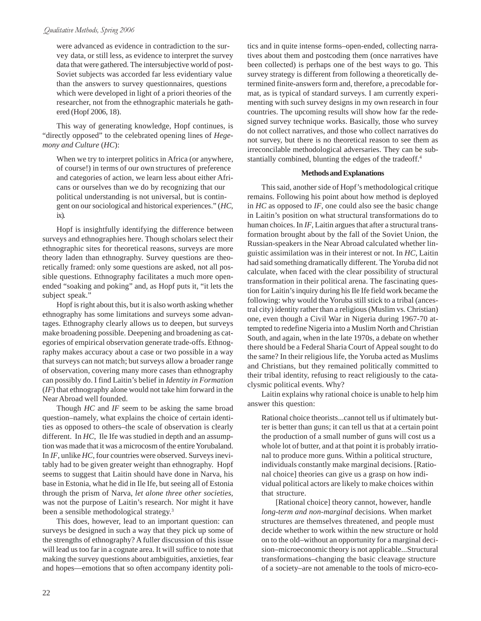## Qualitative Methods, Spring 2006

were advanced as evidence in contradiction to the survey data, or still less, as evidence to interpret the survey data that were gathered. The intersubjective world of post-Soviet subjects was accorded far less evidentiary value than the answers to survey questionnaires, questions which were developed in light of a priori theories of the researcher, not from the ethnographic materials he gathered (Hopf 2006, 18).

This way of generating knowledge, Hopf continues, is "directly opposed" to the celebrated opening lines of *Hegemony and Culture* (*HC*):

When we try to interpret politics in Africa (or anywhere, of course!) in terms of our own structures of preference and categories of action, we learn less about either Africans or ourselves than we do by recognizing that our political understanding is not universal, but is contingent on our sociological and historical experiences." (*HC*, ix).

Hopf is insightfully identifying the difference between surveys and ethnographies here. Though scholars select their ethnographic sites for theoretical reasons, surveys are more theory laden than ethnography. Survey questions are theoretically framed: only some questions are asked, not all possible questions. Ethnography facilitates a much more openended "soaking and poking" and, as Hopf puts it, "it lets the subject speak."

Hopf is right about this, but it is also worth asking whether ethnography has some limitations and surveys some advantages. Ethnography clearly allows us to deepen, but surveys make broadening possible. Deepening and broadening as categories of empirical observation generate trade-offs. Ethnography makes accuracy about a case or two possible in a way that surveys can not match; but surveys allow a broader range of observation, covering many more cases than ethnography can possibly do. I find Laitin's belief in *Identity in Formation* (*IF*) that ethnography alone would not take him forward in the Near Abroad well founded.

Though *HC* and *IF* seem to be asking the same broad question–namely, what explains the choice of certain identities as opposed to others–the scale of observation is clearly different. In *HC*, Ile Ife was studied in depth and an assumption was made that it was a microcosm of the entire Yorubaland. In *IF*, unlike *HC*, four countries were observed. Surveys inevitably had to be given greater weight than ethnography. Hopf seems to suggest that Laitin should have done in Narva, his base in Estonia, what he did in Ile Ife, but seeing all of Estonia through the prism of Narva, *let alone three other societies*, was not the purpose of Laitin's research. Nor might it have been a sensible methodological strategy.<sup>3</sup>

This does, however, lead to an important question: can surveys be designed in such a way that they pick up some of the strengths of ethnography? A fuller discussion of this issue will lead us too far in a cognate area. It will suffice to note that making the survey questions about ambiguities, anxieties, fear and hopes—emotions that so often accompany identity politics and in quite intense forms–open-ended, collecting narratives about them and postcoding them (once narratives have been collected) is perhaps one of the best ways to go. This survey strategy is different from following a theoretically determined finite-answers form and, therefore, a precodable format, as is typical of standard surveys. I am currently experimenting with such survey designs in my own research in four countries. The upcoming results will show how far the redesigned survey technique works. Basically, those who survey do not collect narratives, and those who collect narratives do not survey, but there is no theoretical reason to see them as irreconcilable methodological adversaries. They can be substantially combined, blunting the edges of the tradeoff.<sup>4</sup>

## **Methods and Explanations**

This said, another side of Hopf's methodological critique remains. Following his point about how method is deployed in *HC* as opposed to *IF*, one could also see the basic change in Laitin's position on what structural transformations do to human choices. In *IF*, Laitin argues that after a structural transformation brought about by the fall of the Soviet Union, the Russian-speakers in the Near Abroad calculated whether linguistic assimilation was in their interest or not. In *HC*, Laitin had said something dramatically different. The Yoruba did not calculate, when faced with the clear possibility of structural transformation in their political arena. The fascinating question for Laitin's inquiry during his Ile Ife field work became the following: why would the Yoruba still stick to a tribal (ancestral city) identity rather than a religious (Muslim vs. Christian) one, even though a Civil War in Nigeria during 1967-70 attempted to redefine Nigeria into a Muslim North and Christian South, and again, when in the late 1970s, a debate on whether there should be a Federal Sharia Court of Appeal sought to do the same? In their religious life, the Yoruba acted as Muslims and Christians, but they remained politically committed to their tribal identity, refusing to react religiously to the cataclysmic political events. Why?

Laitin explains why rational choice is unable to help him answer this question:

Rational choice theorists...cannot tell us if ultimately butter is better than guns; it can tell us that at a certain point the production of a small number of guns will cost us a whole lot of butter, and at that point it is probably irrational to produce more guns. Within a political structure, individuals constantly make marginal decisions. [Rational choice] theories can give us a grasp on how individual political actors are likely to make choices within that structure.

[Rational choice] theory cannot, however, handle *long-term and non-marginal* decisions. When market structures are themselves threatened, and people must decide whether to work within the new structure or hold on to the old–without an opportunity for a marginal decision–microeconomic theory is not applicable...Structural transformations–changing the basic cleavage structure of a society–are not amenable to the tools of micro-eco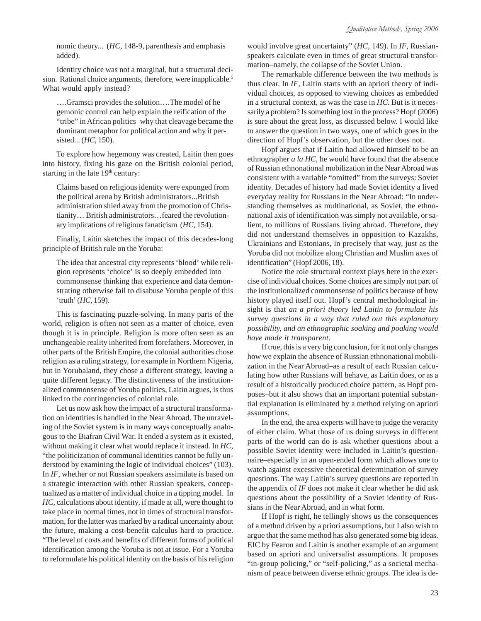nomic theory... (*HC*, 148-9, parenthesis and emphasis added).

Identity choice was not a marginal, but a structural decision. Rational choice arguments, therefore, were inapplicable.<sup>5</sup> What would apply instead?

….Gramsci provides the solution….The model of he gemonic control can help explain the reification of the "tribe" in African politics–why that cleavage became the dominant metaphor for political action and why it persisted... (*HC*, 150).

To explore how hegemony was created, Laitin then goes into history, fixing his gaze on the British colonial period, starting in the late 19<sup>th</sup> century:

Claims based on religious identity were expunged from the political arena by British administrators...British administration shied away from the promotion of Christianity… British administrators…feared the revolutionary implications of religious fanaticism (*HC*, 154).

Finally, Laitin sketches the impact of this decades-long principle of British rule on the Yoruba:

The idea that ancestral city represents 'blood' while religion represents 'choice' is so deeply embedded into commonsense thinking that experience and data demonstrating otherwise fail to disabuse Yoruba people of this 'truth' (*HC*, 159).

This is fascinating puzzle-solving. In many parts of the world, religion is often not seen as a matter of choice, even though it is in principle. Religion is more often seen as an unchangeable reality inherited from forefathers. Moreover, in other parts of the British Empire, the colonial authorities chose religion as a ruling strategy, for example in Northern Nigeria, but in Yorubaland, they chose a different strategy, leaving a quite different legacy. The distinctiveness of the institutionalized commonsense of Yoruba politics, Laitin argues, is thus linked to the contingencies of colonial rule.

Let us now ask how the impact of a structural transformation on identities is handled in the Near Abroad. The unraveling of the Soviet system is in many ways conceptually analogous to the Biafran Civil War. It ended a system as it existed, without making it clear what would replace it instead. In *HC*, "the politicization of communal identities cannot be fully understood by examining the logic of individual choices" (103). In *IF*, whether or not Russian speakers assimilate is based on a strategic interaction with other Russian speakers, conceptualized as a matter of individual choice in a tipping model. In *HC*, calculations about identity, if made at all, were thought to take place in normal times, not in times of structural transformation, for the latter was marked by a radical uncertainty about the future, making a cost-benefit calculus hard to practice. "The level of costs and benefits of different forms of political identification among the Yoruba is not at issue. For a Yoruba to reformulate his political identity on the basis of his religion would involve great uncertainty" (*HC*, 149). In *IF*, Russianspeakers calculate even in times of great structural transformation–namely, the collapse of the Soviet Union.

The remarkable difference between the two methods is thus clear. In *IF*, Laitin starts with an apriori theory of individual choices, as opposed to viewing choices as embedded in a structural context, as was the case in *HC*. But is it necessarily a problem? Is something lost in the process? Hopf (2006) is sure about the great loss, as discussed below. I would like to answer the question in two ways, one of which goes in the direction of Hopf's observation, but the other does not.

Hopf argues that if Laitin had allowed himself to be an ethnographer *a la HC*, he would have found that the absence of Russian ethnonational mobilization in the Near Abroad was consistent with a variable "omitted" from the surveys: Soviet identity. Decades of history had made Soviet identity a lived everyday reality for Russians in the Near Abroad: "In understanding themselves as multinational, as Soviet, the ethnonational axis of identification was simply not available, or salient, to millions of Russians living abroad. Therefore, they did not understand themselves in opposition to Kazakhs, Ukrainians and Estonians, in precisely that way, just as the Yoruba did not mobilize along Christian and Muslim axes of identification" (Hopf 2006, 18).

Notice the role structural context plays here in the exercise of individual choices. Some choices are simply not part of the institutionalized commonsense of politics because of how history played itself out. Hopf's central methodological insight is that *an a priori theory led Laitin to formulate his survey questions in a way that ruled out this explanatory possibility, and an ethnographic soaking and poaking would have made it transparent*.

If true, this is a very big conclusion, for it not only changes how we explain the absence of Russian ethnonational mobilization in the Near Abroad–as a result of each Russian calculating how other Russians will behave, as Laitin does, or as a result of a historically produced choice pattern, as Hopf proposes–but it also shows that an important potential substantial explanation is eliminated by a method relying on apriori assumptions.

In the end, the area experts will have to judge the veracity of either claim. What those of us doing surveys in different parts of the world can do is ask whether questions about a possible Soviet identity were included in Laitin's questionnaire–especially in an open-ended form which allows one to watch against excessive theoretical determination of survey questions. The way Laitin's survey questions are reported in the appendix of *IF* does not make it clear whether he did ask questions about the possibility of a Soviet identity of Russians in the Near Abroad, and in what form.

If Hopf is right, he tellingly shows us the consequences of a method driven by a priori assumptions, but I also wish to argue that the same method has also generated some big ideas. EIC by Fearon and Laitin is another example of an argument based on apriori and universalist assumptions. It proposes "in-group policing," or "self-policing," as a societal mechanism of peace between diverse ethnic groups. The idea is de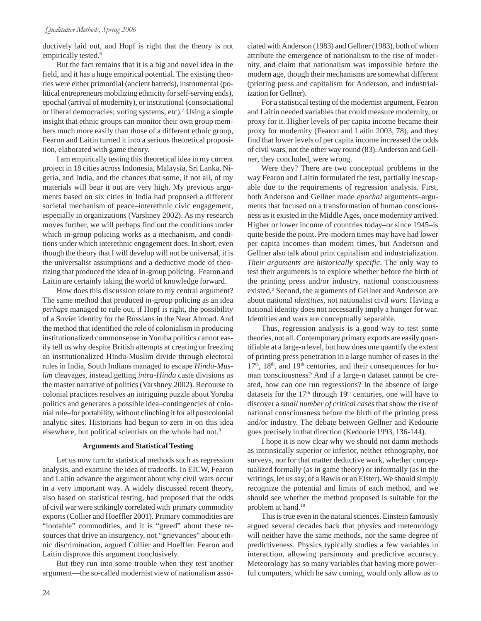ductively laid out, and Hopf is right that the theory is not empirically tested.<sup>6</sup>

But the fact remains that it is a big and novel idea in the field, and it has a huge empirical potential. The existing theories were either primordial (ancient hatreds), instrumental (political entrepreneurs mobilizing ethnicity for self-serving ends), epochal (arrival of modernity), or institutional (consociational or liberal democracies; voting systems, etc).<sup>7</sup> Using a simple insight that ethnic groups can monitor their own group members much more easily than those of a different ethnic group, Fearon and Laitin turned it into a serious theoretical proposition, elaborated with game theory.

I am empirically testing this theoretical idea in my current project in 18 cities across Indonesia, Malaysia, Sri Lanka, Nigeria, and India, and the chances that some, if not all, of my materials will bear it out are very high. My previous arguments based on six cities in India had proposed a different societal mechanism of peace–interethnic civic engagement, especially in organizations (Varshney 2002). As my research moves further, we will perhaps find out the conditions under which in-group policing works as a mechanism, and conditions under which interethnic engagement does. In short, even though the theory that I will develop will not be universal, it is the universalist assumptions and a deductive mode of theorizing that produced the idea of in-group policing. Fearon and Laitin are certainly taking the world of knowledge forward.

How does this discussion relate to my central argument? The same method that produced in-group policing as an idea *perhaps* managed to rule out, if Hopf is right, the possibility of a Soviet identity for the Russians in the Near Abroad. And the method that identified the role of colonialism in producing institutionalized commonsense in Yoruba politics cannot easily tell us why despite British attempts at creating or freezing an institutionalized Hindu-Muslim divide through electoral rules in India, South Indians managed to escape *Hindu-Muslim* cleavages, instead getting *intra-Hindu* caste divisions as the master narrative of politics (Varshney 2002). Recourse to colonial practices resolves an intriguing puzzle about Yoruba politics and generates a possible idea–contingencies of colonial rule–for portability, without clinching it for all postcolonial analytic sites. Historians had begun to zero in on this idea elsewhere, but political scientists on the whole had not.8

### **Arguments and Statistical Testing**

Let us now turn to statistical methods such as regression analysis, and examine the idea of tradeoffs. In EICW, Fearon and Laitin advance the argument about why civil wars occur in a very important way. A widely discussed recent theory, also based on statistical testing, had proposed that the odds of civil war were strikingly correlated with primary commodity exports (Collier and Hoeffler 2001). Primary commodities are "lootable" commodities, and it is "greed" about these resources that drive an insurgency, not "grievances" about ethnic discrimination, argued Collier and Hoeffler. Fearon and Laitin disprove this argument conclusively.

But they run into some trouble when they test another argument—the so-called modernist view of nationalism associated with Anderson (1983) and Gellner (1983), both of whom attribute the emergence of nationalism to the rise of modernity, and claim that nationalism was impossible before the modern age, though their mechanisms are somewhat different (printing press and capitalism for Anderson, and industrialization for Gellner).

For a statistical testing of the modernist argument, Fearon and Laitin needed variables that could measure modernity, or proxy for it. Higher levels of per capita income became their proxy for modernity (Fearon and Laitin 2003, 78), and they find that lower levels of per capita income increased the odds of civil wars, not the other way round (83). Anderson and Gellner, they concluded, were wrong.

Were they? There are two conceptual problems in the way Fearon and Laitin formulated the test, partially inescapable due to the requirements of regression analysis. First, both Anderson and Gellner made *epochal* arguments–arguments that focused on a transformation of human consciousness as it existed in the Middle Ages, once modernity arrived. Higher or lower income of countries today–or since 1945–is quite beside the point. Pre-modern times may have had lower per capita incomes than modern times, but Anderson and Gellner also talk about print capitalism and industrialization. *Their arguments are historically specific*. The only way to test their arguments is to explore whether before the birth of the printing press and/or industry, national consciousness existed.<sup>9</sup> Second, the arguments of Gellner and Anderson are about national *identities*, not nationalist civil *wars*. Having a national identity does not necessarily imply a hunger for war. Identities and wars are conceptually separable.

Thus, regression analysis is a good way to test some theories, not all. Contemporary primary exports are easily quantifiable at a large-n level, but how does one quantify the extent of printing press penetration in a large number of cases in the  $17<sup>th</sup>$ ,  $18<sup>th</sup>$ , and  $19<sup>th</sup>$  centuries, and their consequences for human consciousness? And if a large-n dataset cannot be created, how can one run regressions? In the absence of large datasets for the  $17<sup>th</sup>$  through  $19<sup>th</sup>$  centuries, one will have to discover a *small number of critical cases* that show the rise of national consciousness before the birth of the printing press and/or industry. The debate between Gellner and Kedourie goes precisely in that direction (Kedourie 1993, 136-144).

I hope it is now clear why we should not damn methods as intrinsically superior or inferior, neither ethnography, nor surveys, nor for that matter deductive work, whether conceptualized formally (as in game theory) or informally (as in the writings, let us say, of a Rawls or an Elster). We should simply recognize the potential and limits of each method, and we should see whether the method proposed is suitable for the problem at hand.10

This is true even in the natural sciences. Einstein famously argued several decades back that physics and meteorology will neither have the same methods, nor the same degree of predictiveness. Physics typically studies a few variables in interaction, allowing parsimony and predictive accuracy. Meteorology has so many variables that having more powerful computers, which he saw coming, would only allow us to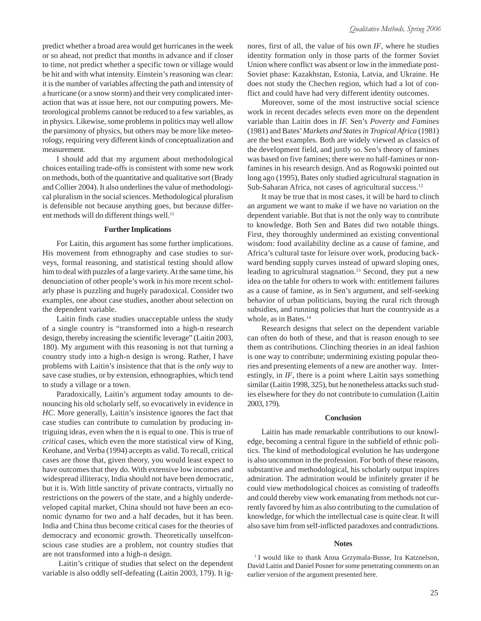predict whether a broad area would get hurricanes in the week or so ahead, not predict that months in advance and if closer to time, not predict whether a specific town or village would be hit and with what intensity. Einstein's reasoning was clear: it is the number of variables affecting the path and intensity of a hurricane (or a snow storm) and their very complicated interaction that was at issue here, not our computing powers. Meteorological problems cannot be reduced to a few variables, as in physics. Likewise, some problems in politics may well allow the parsimony of physics, but others may be more like meteorology, requiring very different kinds of conceptualization and measurement.

I should add that my argument about methodological choices entailing trade-offs is consistent with some new work on methods, both of the quantitative and qualitative sort (Brady and Collier 2004). It also underlines the value of methodological pluralism in the social sciences. Methodological pluralism is defensible not because anything goes, but because different methods will do different things well.<sup>11</sup>

## **Further Implications**

For Laitin, this argument has some further implications. His movement from ethnography and case studies to surveys, formal reasoning, and statistical testing should allow him to deal with puzzles of a large variety. At the same time, his denunciation of other people's work in his more recent scholarly phase is puzzling and hugely paradoxical. Consider two examples, one about case studies, another about selection on the dependent variable.

Laitin finds case studies unacceptable unless the study of a single country is "transformed into a high-n research design, thereby increasing the scientific leverage" (Laitin 2003, 180). My argument with this reasoning is not that turning a country study into a high-n design is wrong. Rather, I have problems with Laitin's insistence that that is the *only way* to save case studies, or by extension, ethnographies, which tend to study a village or a town.

Paradoxically, Laitin's argument today amounts to denouncing his old scholarly self, so evocatively in evidence in *HC*. More generally, Laitin's insistence ignores the fact that case studies can contribute to cumulation by producing intriguing ideas, even when the n is equal to one. This is true of *critical* cases, which even the more statistical view of King, Keohane, and Verba (1994) accepts as valid. To recall, critical cases are those that, given theory, you would least expect to have outcomes that they do. With extensive low incomes and widespread illiteracy, India should not have been democratic, but it is. With little sanctity of private contracts, virtually no restrictions on the powers of the state, and a highly underdeveloped capital market, China should not have been an economic dynamo for two and a half decades, but it has been. India and China thus become critical cases for the theories of democracy and economic growth. Theoretically unselfconscious case studies are a problem, not country studies that are not transformed into a high-n design.

Laitin's critique of studies that select on the dependent variable is also oddly self-defeating (Laitin 2003, 179). It ignores, first of all, the value of his own *IF*, where he studies identity formation only in those parts of the former Soviet Union where conflict was absent or low in the immediate post-Soviet phase: Kazakhstan, Estonia, Latvia, and Ukraine. He does not study the Chechen region, which had a lot of conflict and could have had very different identity outcomes.

Moreover, some of the most instructive social science work in recent decades selects even more on the dependent variable than Laitin does in *IF.* Sen's *Poverty and Famines* (1981) and Bates' *Markets and States in Tropical Africa* (1981) are the best examples. Both are widely viewed as classics of the development field, and justly so. Sen's theory of famines was based on five famines; there were no half-famines or nonfamines in his research design. And as Rogowski pointed out long ago (1995), Bates only studied agricultural stagnation in Sub-Saharan Africa, not cases of agricultural success.<sup>12</sup>

It may be true that in most cases, it will be hard to clinch an argument we want to make if we have no variation on the dependent variable. But that is not the only way to contribute to knowledge. Both Sen and Bates did two notable things. First, they thoroughly undermined an existing conventional wisdom: food availability decline as a cause of famine, and Africa's cultural taste for leisure over work, producing backward bending supply curves instead of upward sloping ones, leading to agricultural stagnation.<sup>13</sup> Second, they put a new idea on the table for others to work with: entitlement failures as a cause of famine, as in Sen's argument, and self-seeking behavior of urban politicians, buying the rural rich through subsidies, and running policies that hurt the countryside as a whole, as in Bates.<sup>14</sup>

Research designs that select on the dependent variable can often do both of these, and that is reason enough to see them as contributions. Clinching theories in an ideal fashion is one way to contribute; undermining existing popular theories and presenting elements of a new are another way. Interestingly, in *IF*, there is a point where Laitin says something similar (Laitin 1998, 325), but he nonetheless attacks such studies elsewhere for they do not contribute to cumulation (Laitin 2003, 179).

### **Conclusion**

Laitin has made remarkable contributions to our knowledge, becoming a central figure in the subfield of ethnic politics. The kind of methodological evolution he has undergone is also uncommon in the profession. For both of these reasons, substantive and methodological, his scholarly output inspires admiration. The admiration would be infinitely greater if he could view methodological choices as consisting of tradeoffs and could thereby view work emanating from methods not currently favored by him as also contributing to the cumulation of knowledge, for which the intellectual case is quite clear. It will also save him from self-inflicted paradoxes and contradictions.

#### **Notes**

<sup>1</sup> I would like to thank Anna Grzymala-Busse, Ira Katznelson, David Laitin and Daniel Posner for some penetrating comments on an earlier version of the argument presented here.